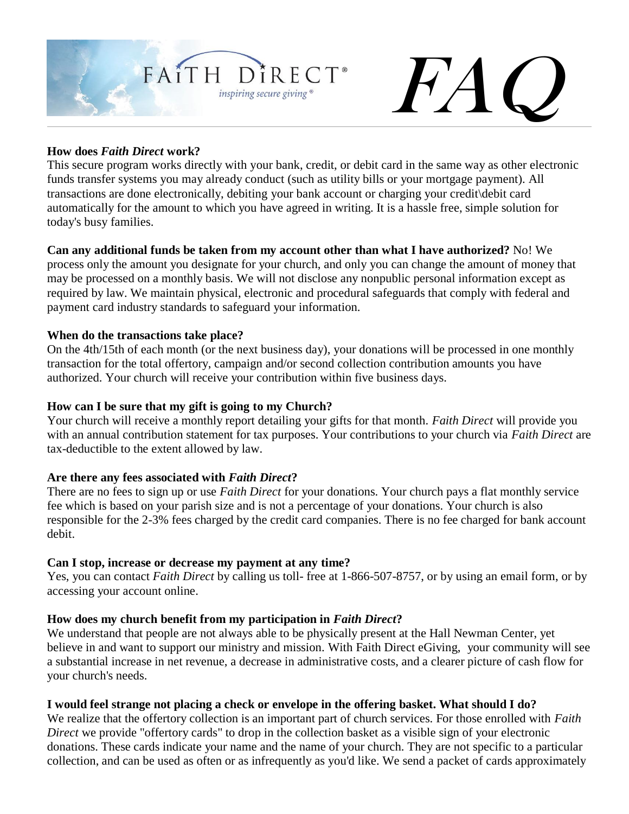

# FAC.

# **How does** *Faith Direct* **work?**

This secure program works directly with your bank, credit, or debit card in the same way as other electronic funds transfer systems you may already conduct (such as utility bills or your mortgage payment). All transactions are done electronically, debiting your bank account or charging your credit\debit card automatically for the amount to which you have agreed in writing. It is a hassle free, simple solution for today's busy families.

# **Can any additional funds be taken from my account other than what I have authorized?** No! We

process only the amount you designate for your church, and only you can change the amount of money that may be processed on a monthly basis. We will not disclose any nonpublic personal information except as required by law. We maintain physical, electronic and procedural safeguards that comply with federal and payment card industry standards to safeguard your information.

### **When do the transactions take place?**

On the 4th/15th of each month (or the next business day), your donations will be processed in one monthly transaction for the total offertory, campaign and/or second collection contribution amounts you have authorized. Your church will receive your contribution within five business days.

### **How can I be sure that my gift is going to my Church?**

Your church will receive a monthly report detailing your gifts for that month. *Faith Direct* will provide you with an annual contribution statement for tax purposes. Your contributions to your church via *Faith Direct* are tax-deductible to the extent allowed by law.

# **Are there any fees associated with** *Faith Direct***?**

There are no fees to sign up or use *Faith Direct* for your donations. Your church pays a flat monthly service fee which is based on your parish size and is not a percentage of your donations. Your church is also responsible for the 2-3% fees charged by the credit card companies. There is no fee charged for bank account debit.

# **Can I stop, increase or decrease my payment at any time?**

Yes, you can contact *Faith Direct* by calling us toll- free at 1-866-507-8757, or by using an [email form,](https://www.faithdirect.net/email01.cfm?id=info) or by accessing your [account online.](https://membership.faithdirect.net/enrollment/login.php)

# **How does my church benefit from my participation in** *Faith Direct***?**

We understand that people are not always able to be physically present at the Hall Newman Center, yet believe in and want to support our ministry and mission. With Faith Direct eGiving, your community will see a substantial increase in net revenue, a decrease in administrative costs, and a clearer picture of cash flow for your church's needs.

# **I would feel strange not placing a check or envelope in the offering basket. What should I do?**

We realize that the offertory collection is an important part of church services. For those enrolled with *Faith Direct* we provide "offertory cards" to drop in the collection basket as a visible sign of your electronic donations. These cards indicate your name and the name of your church. They are not specific to a particular collection, and can be used as often or as infrequently as you'd like. We send a packet of cards approximately